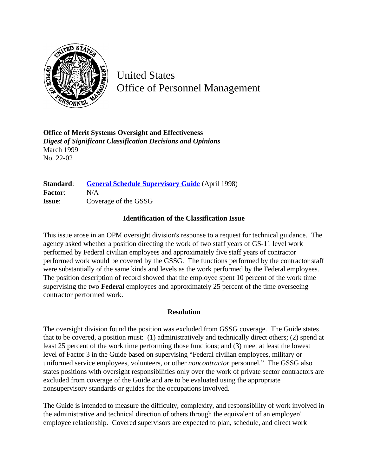

United States Office of Personnel Management

**Office of Merit Systems Oversight and Effectiveness** *Digest of Significant Classification Decisions and Opinions* March 1999 No. 22-02

**Standard:** [General Schedule Supervisory Guide](http://www.opm.gov/hr/fedclass/gssg.pdf) (April 1998) **Factor**: N/A **Issue**: Coverage of the GSSG

## **Identification of the Classification Issue**

This issue arose in an OPM oversight division's response to a request for technical guidance. The agency asked whether a position directing the work of two staff years of GS-11 level work performed by Federal civilian employees and approximately five staff years of contractor performed work would be covered by the GSSG. The functions performed by the contractor staff were substantially of the same kinds and levels as the work performed by the Federal employees. The position description of record showed that the employee spent 10 percent of the work time supervising the two **Federal** employees and approximately 25 percent of the time overseeing contractor performed work.

## **Resolution**

The oversight division found the position was excluded from GSSG coverage. The Guide states that to be covered, a position must: (1) administratively and technically direct others; (2) spend at least 25 percent of the work time performing those functions; and (3) meet at least the lowest level of Factor 3 in the Guide based on supervising "Federal civilian employees, military or uniformed service employees, volunteers, or other *noncontractor* personnel." The GSSG also states positions with oversight responsibilities only over the work of private sector contractors are excluded from coverage of the Guide and are to be evaluated using the appropriate nonsupervisory standards or guides for the occupations involved.

The Guide is intended to measure the difficulty, complexity, and responsibility of work involved in the administrative and technical direction of others through the equivalent of an employer/ employee relationship. Covered supervisors are expected to plan, schedule, and direct work